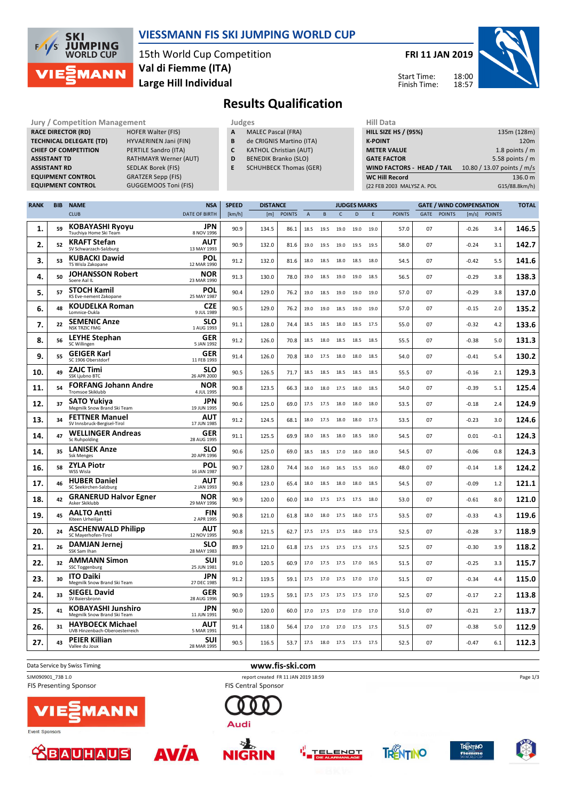

### **VIESSMANN FIS SKI JUMPING WORLD CUP**

15th World Cup Competition **Large Hill Individual Val di Fiemme (ITA)**

**FRI 11 JAN 2019**

Start Time: Finish Time:



**Results Qualification**

**Jury / Competition Management Judges Hill Data**<br> **RACE DIRECTOR (RD)** HOFER Walter (FIS) **A** MALEC Pascal (FRA) **HILL SIZE HILL SIZE RACE DIRECTOR (RD) TECHNICAL DELEGATE (TD)** HYVAERINEN Jani (FIN) **CHIEF OF COMPETITION** PERTILE Sandro (ITA) **ASSISTANT TD** RATHMAYR Werner (AUT) **ASSISTANT RD** SEDLAK Borek (FIS) **EQUIPMENT CONTROL GRATZER Sepp (FIS)**<br>**EQUIPMENT CONTROL** GUGGEMOOS Toni **EQUIPMENT CONTROL** GUGGEMOOS Toni (FIS)

- **A** MALEC Pascal (FRA)
- **B** de CRIGNIS Martino (ITA)
- **C** KATHOL Christian (AUT)
- **D** BENEDIK Branko (SLO)
- **E** SCHUHBECK Thomas (GER)

| .                           |                            |
|-----------------------------|----------------------------|
| <b>HILL SIZE HS / (95%)</b> | 135m (128m)                |
| <b>K-POINT</b>              | 120 <sub>m</sub>           |
| <b>METER VALUE</b>          | 1.8 points $/m$            |
| <b>GATE FACTOR</b>          | 5.58 points $/m$           |
| WIND FACTORS - HEAD / TAIL  | 10.80 / 13.07 points / m/s |
| <b>WC Hill Record</b>       | 136.0 m                    |
| (22 FEB 2003 MALYSZ A. POL  | G15/88.8km/h)              |
|                             |                            |

| <b>RANK</b> | <b>BIB</b> | <b>NAME</b>                                               | <b>NSA</b>                | <b>SPEED</b> | <b>DISTANCE</b> |               |                |      | <b>JUDGES MARKS</b> |      |      | <b>GATE / WIND COMPENSATION</b> |    |             |         |              |       |
|-------------|------------|-----------------------------------------------------------|---------------------------|--------------|-----------------|---------------|----------------|------|---------------------|------|------|---------------------------------|----|-------------|---------|--------------|-------|
|             |            | <b>CLUB</b>                                               | <b>DATE OF BIRTH</b>      | [km/h]       | [m]             | <b>POINTS</b> | $\overline{A}$ | B    | $\mathsf{C}$        | D    | E    | <b>POINTS</b>                   |    | GATE POINTS |         | [m/s] POINTS |       |
| 1.          | 59         | <b>KOBAYASHI Ryoyu</b><br>Tsuchiya Home Ski Team          | <b>JPN</b><br>8 NOV 1996  | 90.9         | 134.5           | 86.1          | 18.5           | 19.5 | 19.0                | 19.0 | 19.0 | 57.0                            | 07 |             | $-0.26$ | 3.4          | 146.5 |
| 2.          | 52         | <b>KRAFT Stefan</b><br>SV Schwarzach-Salzburg             | AUT<br>13 MAY 1993        | 90.9         | 132.0           | 81.6          | 19.0           | 19.5 | 19.0                | 19.5 | 19.5 | 58.0                            | 07 |             | $-0.24$ | 3.1          | 142.7 |
| 3.          | 53         | <b>KUBACKI Dawid</b><br>TS Wisla Zakopane                 | POL<br>12 MAR 1990        | 91.2         | 132.0           | 81.6          | 18.0           | 18.5 | 18.0                | 18.5 | 18.0 | 54.5                            | 07 |             | $-0.42$ | 5.5          | 141.6 |
| 4.          | 50         | <b>JOHANSSON Robert</b><br>Soere Aal IL                   | <b>NOR</b><br>23 MAR 1990 | 91.3         | 130.0           | 78.0          | 19.0           | 18.5 | 19.0                | 19.0 | 18.5 | 56.5                            | 07 |             | $-0.29$ | 3.8          | 138.3 |
| 5.          | 57         | <b>STOCH Kamil</b><br>KS Eve-nement Zakopane              | POL<br>25 MAY 1987        | 90.4         | 129.0           | 76.2          | 19.0           | 18.5 | 19.0                | 19.0 | 19.0 | 57.0                            | 07 |             | $-0.29$ | 3.8          | 137.0 |
| 6.          | 48         | <b>KOUDELKA Roman</b><br>Lomnice-Dukla                    | CZE<br>9 JUL 1989         | 90.5         | 129.0           | 76.2          | 19.0           | 19.0 | 18.5                | 19.0 | 19.0 | 57.0                            | 07 |             | $-0.15$ | 2.0          | 135.2 |
| 7.          | 22         | <b>SEMENIC Anze</b><br><b>NSK TRZIC FMG</b>               | <b>SLO</b><br>1 AUG 1993  | 91.1         | 128.0           | 74.4          | 18.5           | 18.5 | 18.0                | 18.5 | 17.5 | 55.0                            | 07 |             | $-0.32$ | 4.2          | 133.6 |
| 8.          | 56         | <b>LEYHE Stephan</b><br>SC Willingen                      | GER<br>5 JAN 1992         | 91.2         | 126.0           | 70.8          | 18.5           | 18.0 | 18.5                | 18.5 | 18.5 | 55.5                            | 07 |             | $-0.38$ | 5.0          | 131.3 |
| 9.          | 55         | <b>GEIGER Karl</b><br>SC 1906 Oberstdorf                  | GER<br>11 FEB 1993        | 91.4         | 126.0           | 70.8          | 18.0           | 17.5 | 18.0                | 18.0 | 18.5 | 54.0                            | 07 |             | $-0.41$ | 5.4          | 130.2 |
| 10.         | 49         | <b>ZAJC Timi</b><br>SSK Ljubno BTC                        | <b>SLO</b><br>26 APR 2000 | 90.5         | 126.5           | 71.7          | 18.5           | 18.5 | 18.5                | 18.5 | 18.5 | 55.5                            | 07 |             | $-0.16$ | 2.1          | 129.3 |
| 11.         | 54         | <b>FORFANG Johann Andre</b><br>Tromsoe Skiklubb           | NOR<br>4 JUL 1995         | 90.8         | 123.5           | 66.3          | 18.0           | 18.0 | 17.5                | 18.0 | 18.5 | 54.0                            | 07 |             | $-0.39$ | 5.1          | 125.4 |
| 12.         | 37         | <b>SATO Yukiya</b><br>Megmilk Snow Brand Ski Team         | <b>JPN</b><br>19 JUN 1995 | 90.6         | 125.0           | 69.0          | 17.5           | 17.5 | 18.0                | 18.0 | 18.0 | 53.5                            | 07 |             | $-0.18$ | 2.4          | 124.9 |
| 13.         | 34         | <b>FETTNER Manuel</b><br>SV Innsbruck-Bergisel-Tirol      | AUT<br>17 JUN 1985        | 91.2         | 124.5           | 68.1          | 18.0           | 17.5 | 18.0                | 18.0 | 17.5 | 53.5                            | 07 |             | $-0.23$ | 3.0          | 124.6 |
| 14.         | 47         | <b>WELLINGER Andreas</b><br>Sc Ruhpolding                 | GER<br>28 AUG 1995        | 91.1         | 125.5           | 69.9          | 18.0           | 18.5 | 18.0                | 18.5 | 18.0 | 54.5                            | 07 |             | 0.01    | $-0.1$       | 124.3 |
| 14.         | 35         | <b>LANISEK Anze</b><br><b>Ssk Menges</b>                  | <b>SLO</b><br>20 APR 1996 | 90.6         | 125.0           | 69.0          | 18.5           |      | 18.5 17.0           | 18.0 | 18.0 | 54.5                            | 07 |             | $-0.06$ | 0.8          | 124.3 |
| 16.         | 58         | <b>ZYLA Piotr</b><br>WSS Wisla                            | POL<br>16 JAN 1987        | 90.7         | 128.0           | 74.4          | 16.0           | 16.0 | 16.5                | 15.5 | 16.0 | 48.0                            | 07 |             | $-0.14$ | 1.8          | 124.2 |
| 17.         | 46         | <b>HUBER Daniel</b><br>SC Seekirchen-Salzburg             | AUT<br>2 JAN 1993         | 90.8         | 123.0           | 65.4          | 18.0           | 18.5 | 18.0                | 18.0 | 18.5 | 54.5                            | 07 |             | $-0.09$ | 1.2          | 121.1 |
| 18.         | 42         | <b>GRANERUD Halvor Egner</b><br>Asker Skiklubb            | NOR<br>29 MAY 1996        | 90.9         | 120.0           | 60.0          | 18.0           |      | 17.5 17.5           | 17.5 | 18.0 | 53.0                            | 07 |             | $-0.61$ | 8.0          | 121.0 |
| 19          | 45         | <b>AALTO Antti</b><br>Kiteen Urheilijat                   | <b>FIN</b><br>2 APR 1995  | 90.8         | 121.0           | 61.8          | 18.0           | 18.0 | 17.5                | 18.0 | 17.5 | 53.5                            | 07 |             | $-0.33$ | 4.3          | 119.6 |
| 20.         | 24         | <b>ASCHENWALD Philipp</b><br>SC Mayerhofen-Tirol          | AUT<br>12 NOV 1995        | 90.8         | 121.5           | 62.7          | 17.5           | 17.5 | 17.5                | 18.0 | 17.5 | 52.5                            | 07 |             | $-0.28$ | 3.7          | 118.9 |
| 21.         | 26         | <b>DAMJAN Jernej</b><br>SSK Sam Ihan                      | <b>SLO</b><br>28 MAY 1983 | 89.9         | 121.0           | 61.8          | 17.5           |      | 17.5 17.5 17.5      |      | 17.5 | 52.5                            | 07 |             | $-0.30$ | 3.9          | 118.2 |
| 22.         | 32         | <b>AMMANN Simon</b><br>SSC Toggenburg                     | SUI<br>25 JUN 1981        | 91.0         | 120.5           | 60.9          | 17.0           | 17.5 | 17.5                | 17.0 | 16.5 | 51.5                            | 07 |             | $-0.25$ | 3.3          | 115.7 |
| 23.         | 30         | <b>ITO Daiki</b><br>Megmilk Snow Brand Ski Team           | <b>JPN</b><br>27 DEC 1985 | 91.2         | 119.5           | 59.1          | 17.5           | 17.0 | 17.5                | 17.0 | 17.0 | 51.5                            | 07 |             | $-0.34$ | 4.4          | 115.0 |
| 24.         | 33         | <b>SIEGEL David</b><br>SV Baiersbronn                     | GER<br>28 AUG 1996        | 90.9         | 119.5           | 59.1          | 17.5           | 17.5 | 17.5                | 17.5 | 17.0 | 52.5                            | 07 |             | $-0.17$ | 2.2          | 113.8 |
| 25.         | 41         | <b>KOBAYASHI Junshiro</b><br>Megmilk Snow Brand Ski Team  | <b>JPN</b><br>11 JUN 1991 | 90.0         | 120.0           | 60.0          | 17.0           | 17.5 | 17.0                | 17.0 | 17.0 | 51.0                            | 07 |             | $-0.21$ | 2.7          | 113.7 |
| 26.         | 31         | <b>HAYBOECK Michael</b><br>UVB Hinzenbach-Oberoesterreich | <b>AUT</b><br>5 MAR 1991  | 91.4         | 118.0           | 56.4          | 17.0           |      | 17.0 17.0 17.5      |      | 17.5 | 51.5                            | 07 |             | $-0.38$ | 5.0          | 112.9 |
| 27.         | 43         | <b>PEIER Killian</b><br>Vallee du Joux                    | <b>SUI</b><br>28 MAR 1995 | 90.5         | 116.5           | 53.7          | 17.5           |      | 18.0 17.5 17.5      |      | 17.5 | 52.5                            | 07 |             | $-0.47$ | 6.1          | 112.3 |

**FIS Presenting Sponsor** 

Data Service by Swiss Timing **www.fis-ski.com**

SJM090901\_73B 1.0 report created FR 11 JAN 2019 18:59 **FIS Central Sponsor** 



 $\Delta$ 

**NIGRIN** 

**AVÍA** 











**TRENTINO**<br>fiemme

Page 1/3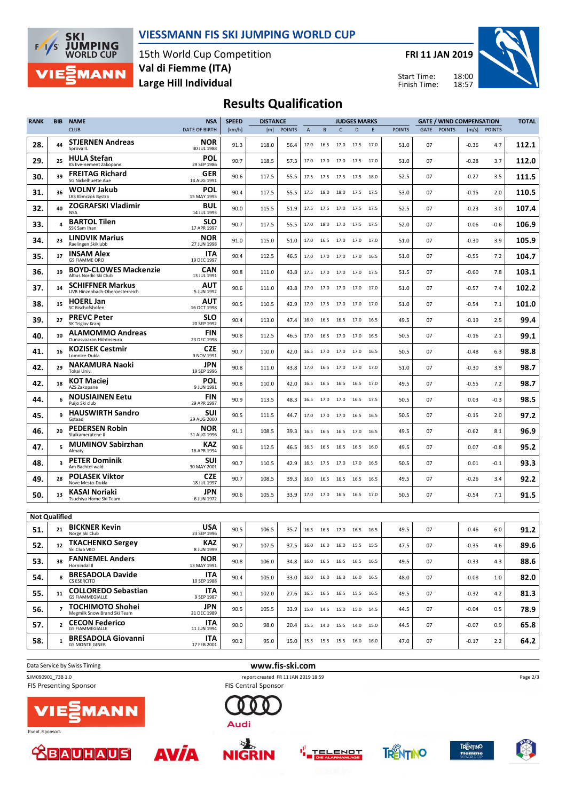

#### **VIESSMANN FIS SKI JUMPING WORLD CUP**

15th World Cup Competition **Large Hill Individual Val di Fiemme (ITA)**

**FRI 11 JAN 2019**

Start Time: Finish Time:



# **Results Qualification**

| <b>RANK</b>          | <b>BIB</b>     | <b>NAME</b>                                               | <b>NSA</b>                | <b>SPEED</b> | <b>DISTANCE</b> |               |                | <b>JUDGES MARKS</b> |                |                              |      | <b>GATE / WIND COMPENSATION</b> |      |               |         |              | <b>TOTAL</b> |
|----------------------|----------------|-----------------------------------------------------------|---------------------------|--------------|-----------------|---------------|----------------|---------------------|----------------|------------------------------|------|---------------------------------|------|---------------|---------|--------------|--------------|
|                      |                | <b>CLUB</b>                                               | <b>DATE OF BIRTH</b>      | [km/h]       | [m]             | <b>POINTS</b> | $\overline{A}$ | B                   | $\mathsf{C}$   | D                            | E    | <b>POINTS</b>                   | GATE | <b>POINTS</b> |         | [m/s] POINTS |              |
| 28.                  | 44             | <b>STJERNEN Andreas</b><br>Sprova IL                      | NOR<br>30 JUL 1988        | 91.3         | 118.0           | 56.4          | 17.0           | 16.5 17.0           |                | 17.5                         | 17.0 | 51.0                            | 07   |               | $-0.36$ | 4.7          | 112.1        |
| 29.                  | 25             | <b>HULA Stefan</b><br>KS Eve-nement Zakopane              | POL<br>29 SEP 1986        | 90.7         | 118.5           | 57.3          | 17.0           | 17.0 17.0           |                | 17.5                         | 17.0 | 51.0                            | 07   |               | $-0.28$ | 3.7          | 112.0        |
| 30.                  | 39             | <b>FREITAG Richard</b><br>SG Nickelhuette Aue             | GER<br>14 AUG 1991        | 90.6         | 117.5           | 55.5          | 17.5           | 17.5                | 17.5           | 17.5                         | 18.0 | 52.5                            | 07   |               | $-0.27$ | 3.5          | 111.5        |
| 31.                  | 36             | <b>WOLNY Jakub</b><br>LKS Klimczok Bystra                 | POL<br>15 MAY 1995        | 90.4         | 117.5           | 55.5          | 17.5           |                     | 18.0 18.0      | 17.5                         | 17.5 | 53.0                            | 07   |               | $-0.15$ | 2.0          | 110.5        |
| 32.                  | 40             | ZOGRAFSKI Vladimir<br><b>NSA</b>                          | <b>BUL</b><br>14 JUL 1993 | 90.0         | 115.5           | 51.9          | 17.5           |                     |                | 17.5 17.0 17.5 17.5          |      | 52.5                            | 07   |               | $-0.23$ | 3.0          | 107.4        |
| 33.                  | 4              | <b>BARTOL Tilen</b><br>SSK Sam Ihan                       | <b>SLO</b><br>17 APR 1997 | 90.7         | 117.5           | 55.5          | 17.0           | 18.0                | 17.0           | 17.5                         | 17.5 | 52.0                            | 07   |               | 0.06    | $-0.6$       | 106.9        |
| 34.                  | 23             | <b>LINDVIK Marius</b><br>Raelingen Skiklubb               | NOR<br>27 JUN 1998        | 91.0         | 115.0           | 51.0          | 17.0           | 16.5                | 17.0           | 17.0                         | 17.0 | 51.0                            | 07   |               | $-0.30$ | 3.9          | 105.9        |
| 35.                  | 17             | <b>INSAM Alex</b><br><b>GS FIAMME ORO</b>                 | ITA<br>19 DEC 1997        | 90.4         | 112.5           | 46.5          | 17.0           | 17.0                | 17.0           | 17.0                         | 16.5 | 51.0                            | 07   |               | $-0.55$ | 7.2          | 104.7        |
| 36.                  | 19             | <b>BOYD-CLOWES Mackenzie</b><br>Altius Nordic Ski Club    | <b>CAN</b><br>13 JUL 1991 | 90.8         | 111.0           | 43.8          | 17.5           | 17.0 17.0 17.0      |                |                              | 17.5 | 51.5                            | 07   |               | $-0.60$ | 7.8          | 103.1        |
| 37.                  | 14             | <b>SCHIFFNER Markus</b><br>UVB Hinzenbach-Oberoesterreich | AUT<br>5 JUN 1992         | 90.6         | 111.0           | 43.8          | 17.0           | 17.0 17.0 17.0      |                |                              | 17.0 | 51.0                            | 07   |               | $-0.57$ | 7.4          | 102.2        |
| 38.                  | 15             | <b>HOERL Jan</b><br>SC Bischofshofen                      | AUT<br>16 OCT 1998        | 90.5         | 110.5           | 42.9          | 17.0           |                     | 17.5 17.0      | 17.0                         | 17.0 | 51.0                            | 07   |               | $-0.54$ | 7.1          | 101.0        |
| 39.                  | 27             | <b>PREVC Peter</b><br>SK Triglav Kranj                    | <b>SLO</b><br>20 SEP 1992 | 90.4         | 113.0           | 47.4          | 16.0           | 16.5                | 16.5           | 17.0                         | 16.5 | 49.5                            | 07   |               | -0.19   | 2.5          | 99.4         |
| 40.                  | 10             | <b>ALAMOMMO Andreas</b><br>Ounasvaaran Hiihtoseura        | <b>FIN</b><br>23 DEC 1998 | 90.8         | 112.5           | 46.5          | 17.0           | 16.5                | 17.0           | 17.0                         | 16.5 | 50.5                            | 07   |               | $-0.16$ | 2.1          | 99.1         |
| 41.                  | 16             | <b>KOZISEK Cestmir</b><br>Lomnice-Dukla                   | CZE<br>9 NOV 1991         | 90.7         | 110.0           | 42.0          | 16.5           | 17.0 17.0 17.0      |                |                              | 16.5 | 50.5                            | 07   |               | $-0.48$ | 6.3          | 98.8         |
| 42.                  | 29             | <b>NAKAMURA Naoki</b><br>Tokai Univ.                      | <b>JPN</b><br>19 SEP 1996 | 90.8         | 111.0           | 43.8          | 17.0           |                     | 16.5 17.0 17.0 |                              | 17.0 | 51.0                            | 07   |               | $-0.30$ | 3.9          | 98.7         |
| 42.                  | 18             | <b>KOT Maciej</b><br>AZS Zakopane                         | POL<br>9 JUN 1991         | 90.8         | 110.0           | 42.0          | 16.5           | 16.5 16.5           |                | 16.5                         | 17.0 | 49.5                            | 07   |               | $-0.55$ | 7.2          | 98.7         |
| 44.                  | 6              | <b>NOUSIAINEN Eetu</b><br>Puijo Ski club                  | <b>FIN</b><br>29 APR 1997 | 90.9         | 113.5           | 48.3          | 16.5           | 17.0                | 17.0           | 16.5                         | 17.5 | 50.5                            | 07   |               | 0.03    | $-0.3$       | 98.5         |
| 45.                  | 9              | <b>HAUSWIRTH Sandro</b><br>Gstaad                         | SUI<br>29 AUG 2000        | 90.5         | 111.5           | 44.7          | 17.0           | 17.0                | 17.0           | 16.5                         | 16.5 | 50.5                            | 07   |               | $-0.15$ | 2.0          | 97.2         |
| 46.                  | 20             | <b>PEDERSEN Robin</b><br>Stalkameratene II                | NOR<br>31 AUG 1996        | 91.1         | 108.5           | 39.3          | 16.5           |                     | 16.5 16.5 17.0 |                              | 16.5 | 49.5                            | 07   |               | $-0.62$ | 8.1          | 96.9         |
| 47.                  | 5              | <b>MUMINOV Sabirzhan</b><br>Almaty                        | KAZ<br>16 APR 1994        | 90.6         | 112.5           | 46.5          | 16.5           | 16.5                | 16.5           | 16.5                         | 16.0 | 49.5                            | 07   |               | 0.07    | $-0.8$       | 95.2         |
| 48.                  | 3              | <b>PETER Dominik</b><br>Am Bachtel wald                   | SUI<br>30 MAY 2001        | 90.7         | 110.5           | 42.9          | 16.5           |                     | 17.5 17.0 17.0 |                              | 16.5 | 50.5                            | 07   |               | 0.01    | $-0.1$       | 93.3         |
| 49.                  | 28             | <b>POLASEK Viktor</b><br>Nove Mesto-Dukla                 | <b>CZE</b><br>18 JUL 1997 | 90.7         | 108.5           | 39.3          | 16.0           | 16.5                | 16.5           | 16.5                         | 16.5 | 49.5                            | 07   |               | $-0.26$ | 3.4          | 92.2         |
| 50.                  | 13             | KASAI Noriaki<br>Tsuchiya Home Ski Team                   | <b>JPN</b><br>6 JUN 1972  | 90.6         | 105.5           | 33.9          |                | 17.0 17.0 16.5 16.5 |                |                              | 17.0 | 50.5                            | 07   |               | $-0.54$ | 7.1          | 91.5         |
| <b>Not Qualified</b> |                |                                                           |                           |              |                 |               |                |                     |                |                              |      |                                 |      |               |         |              |              |
| 51.                  | 21             | <b>BICKNER Kevin</b><br>Norge Ski Club                    | USA<br>23 SEP 1996        | 90.5         | 106.5           | 35.7          | 16.5           | 16.5 17.0 16.5      |                |                              | 16.5 | 49.5                            | 07   |               | $-0.46$ | 6.0          | 91.2         |
| 52.                  | 12             | <b>TKACHENKO Sergey</b><br>Ski Club VKO                   | <b>KAZ</b><br>8 JUN 1999  | 90.7         | 107.5           | 37.5          |                |                     |                | 16.0 16.0 16.0 15.5 15.5     |      | 47.5                            | 07   |               | $-0.35$ | 4.6          | 89.6         |
| 53.                  | 38             | <b>FANNEMEL Anders</b><br>Hornindal II                    | <b>NOR</b><br>13 MAY 1991 | 90.8         | 106.0           | 34.8          |                |                     |                | 16.0 16.5 16.5 16.5 16.5     |      | 49.5                            | 07   |               | $-0.33$ | 4.3          | 88.6         |
| 54.                  | 8              | <b>BRESADOLA Davide</b><br><b>CS ESERCITO</b>             | <b>ITA</b><br>10 SEP 1988 | 90.4         | 105.0           | 33.0          |                |                     |                | 16.0  16.0  16.0  16.0  16.5 |      | 48.0                            | 07   |               | $-0.08$ | 1.0          | 82.0         |
| 55.                  | 11             | <b>COLLOREDO Sebastian</b><br><b>GS FIAMMEGIALLE</b>      | <b>ITA</b><br>9 SEP 1987  | 90.1         | 102.0           | 27.6          |                |                     |                | 16.5 16.5 16.5 15.5 16.5     |      | 49.5                            | 07   |               | $-0.32$ | 4.2          | 81.3         |
| 56.                  | $\overline{7}$ | <b>TOCHIMOTO Shohei</b><br>Megmilk Snow Brand Ski Team    | <b>JPN</b><br>21 DEC 1989 | 90.5         | 105.5           | 33.9          |                |                     |                | 15.0  14.5  15.0  15.0  14.5 |      | 44.5                            | 07   |               | $-0.04$ | 0.5          | 78.9         |
| 57.                  | $\overline{2}$ | <b>CECON Federico</b><br><b>GS FIAMMEGIALLE</b>           | <b>ITA</b><br>11 JUN 1994 | 90.0         | 98.0            | 20.4          |                |                     |                | 15.5 14.0 15.5 14.0 15.0     |      | 44.5                            | 07   |               | $-0.07$ | 0.9          | 65.8         |
| 58.                  | $\mathbf{1}$   | <b>BRESADOLA Giovanni</b><br><b>GS MONTE GINER</b>        | ITA<br>17 FEB 2001        | 90.2         | 95.0            | 15.0          |                |                     |                | 15.5 15.5 15.5 16.0 16.0     |      | 47.0                            | 07   |               | $-0.17$ | 2.2          | 64.2         |
|                      |                |                                                           |                           |              |                 |               |                |                     |                |                              |      |                                 |      |               |         |              |              |

**FIS Presenting Sponsor** 



SJM090901\_73B 1.0 report created FR 11 JAN 2019 18:59<br>FIS Presenting Sponsor **report created FR 11 JAN 2019 18:59** 



巫

Event Sponsors



**AANN** 

**AVÍA** 

TELENOT **NIGRIN** 







Page 2/3